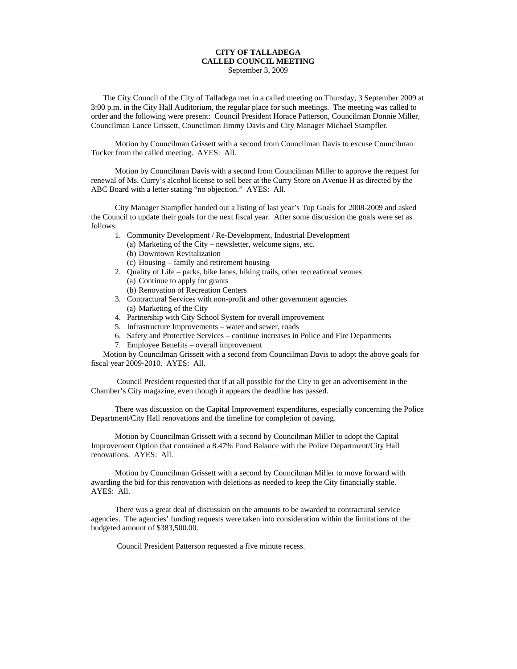## **CITY OF TALLADEGA CALLED COUNCIL MEETING** September 3, 2009

The City Council of the City of Talladega met in a called meeting on Thursday, 3 September 2009 at 3:00 p.m. in the City Hall Auditorium, the regular place for such meetings. The meeting was called to order and the following were present: Council President Horace Patterson, Councilman Donnie Miller, Councilman Lance Grissett, Councilman Jimmy Davis and City Manager Michael Stampfler.

Motion by Councilman Grissett with a second from Councilman Davis to excuse Councilman Tucker from the called meeting. AYES: All.

Motion by Councilman Davis with a second from Councilman Miller to approve the request for renewal of Ms. Curry's alcohol license to sell beer at the Curry Store on Avenue H as directed by the ABC Board with a letter stating "no objection." AYES: All.

City Manager Stampfler handed out a listing of last year's Top Goals for 2008-2009 and asked the Council to update their goals for the next fiscal year. After some discussion the goals were set as follows:

- 1. Community Development / Re-Development, Industrial Development
	- (a) Marketing of the City newsletter, welcome signs, etc.
	- (b) Downtown Revitalization
	- (c) Housing family and retirement housing
- 2. Quality of Life parks, bike lanes, hiking trails, other recreational venues (a) Continue to apply for grants
	- (b) Renovation of Recreation Centers
- 3. Contractural Services with non-profit and other government agencies (a) Marketing of the City
- 4. Partnership with City School System for overall improvement
- 5. Infrastructure Improvements water and sewer, roads
- 6. Safety and Protective Services continue increases in Police and Fire Departments
- 7. Employee Benefits overall improvement

Motion by Councilman Grissett with a second from Councilman Davis to adopt the above goals for fiscal year 2009-2010. AYES: All.

Council President requested that if at all possible for the City to get an advertisement in the Chamber's City magazine, even though it appears the deadline has passed.

There was discussion on the Capital Improvement expenditures, especially concerning the Police Department/City Hall renovations and the timeline for completion of paving.

Motion by Councilman Grissett with a second by Councilman Miller to adopt the Capital Improvement Option that contained a 8.47% Fund Balance with the Police Department/City Hall renovations. AYES: All.

Motion by Councilman Grissett with a second by Councilman Miller to move forward with awarding the bid for this renovation with deletions as needed to keep the City financially stable. AYES: All.

There was a great deal of discussion on the amounts to be awarded to contractural service agencies. The agencies' funding requests were taken into consideration within the limitations of the budgeted amount of \$383,500.00.

Council President Patterson requested a five minute recess.